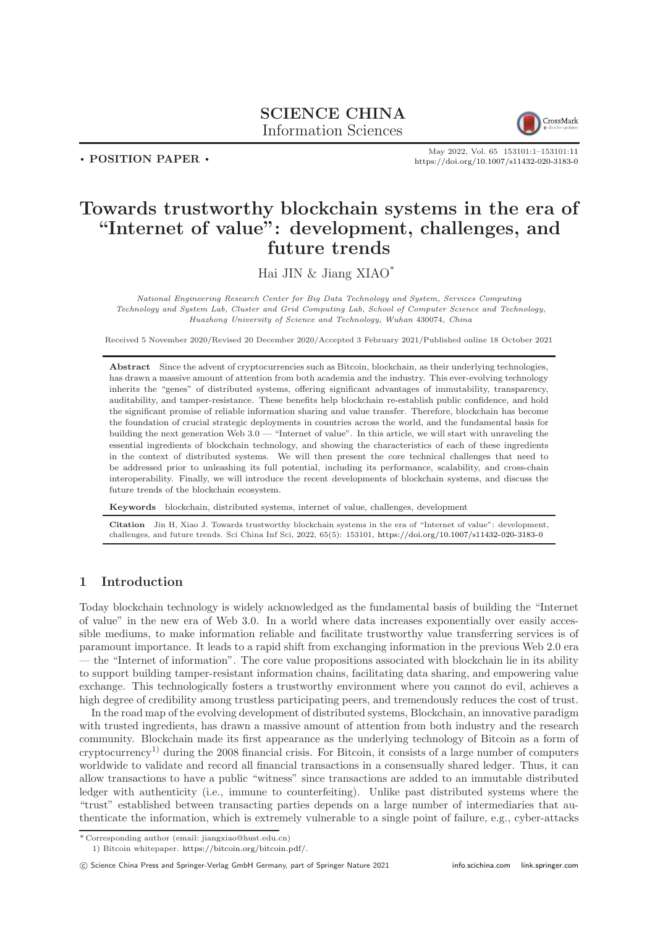# SCIENCE CHINA Information Sciences



. POSITION PAPER .

May 2022, Vol. 65 153101:1–153101[:11](#page-10-0) <https://doi.org/10.1007/s11432-020-3183-0>

# Towards trustworthy blockchain systems in the era of "Internet of value": development, challenges, and future trends

Hai JIN & Jiang XIAO\*

National Engineering Research Center for Big Data Technology and System, Services Computing Technology and System Lab, Cluster and Grid Computing Lab, School of Computer Science and Technology, Huazhong University of Science and Technology, Wuhan 430074, China

Received 5 November 2020/Revised 20 December 2020/Accepted 3 February 2021/Published online 18 October 2021

Abstract Since the advent of cryptocurrencies such as Bitcoin, blockchain, as their underlying technologies, has drawn a massive amount of attention from both academia and the industry. This ever-evolving technology inherits the "genes" of distributed systems, offering significant advantages of immutability, transparency, auditability, and tamper-resistance. These benefits help blockchain re-establish public confidence, and hold the significant promise of reliable information sharing and value transfer. Therefore, blockchain has become the foundation of crucial strategic deployments in countries across the world, and the fundamental basis for building the next generation Web 3.0 — "Internet of value". In this article, we will start with unraveling the essential ingredients of blockchain technology, and showing the characteristics of each of these ingredients in the context of distributed systems. We will then present the core technical challenges that need to be addressed prior to unleashing its full potential, including its performance, scalability, and cross-chain interoperability. Finally, we will introduce the recent developments of blockchain systems, and discuss the future trends of the blockchain ecosystem.

Keywords blockchain, distributed systems, internet of value, challenges, development

Jin H, Xiao J. Towards trustworthy blockchain systems in the era of "Internet of value": development, challenges, and future trends. Sci China Inf Sci, 2022, 65(5): 153101, <https://doi.org/10.1007/s11432-020-3183-0>

# 1 Introduction

Today blockchain technology is widely acknowledged as the fundamental basis of building the "Internet of value" in the new era of Web 3.0. In a world where data increases exponentially over easily accessible mediums, to make information reliable and facilitate trustworthy value transferring services is of paramount importance. It leads to a rapid shift from exchanging information in the previous Web 2.0 era — the "Internet of information". The core value propositions associated with blockchain lie in its ability to support building tamper-resistant information chains, facilitating data sharing, and empowering value exchange. This technologically fosters a trustworthy environment where you cannot do evil, achieves a high degree of credibility among trustless participating peers, and tremendously reduces the cost of trust.

In the road map of the evolving development of distributed systems, Blockchain, an innovative paradigm with trusted ingredients, has drawn a massive amount of attention from both industry and the research community. Blockchain made its first appearance as the underlying technology of Bitcoin as a form of cryptocurrency1) during the 2008 financial crisis. For Bitcoin, it consists of a large number of computers worldwide to validate and record all financial transactions in a consensually shared ledger. Thus, it can allow transactions to have a public "witness" since transactions are added to an immutable distributed ledger with authenticity (i.e., immune to counterfeiting). Unlike past distributed systems where the "trust" established between transacting parties depends on a large number of intermediaries that authenticate the information, which is extremely vulnerable to a single point of failure, e.g., cyber-attacks

<sup>\*</sup> Corresponding author (email: jiangxiao@hust.edu.cn)

<sup>1)</sup> Bitcoin whitepaper. [https://bitcoin.org/bitcoin.pdf/.](https://bitcoin.org/bitcoin.pdf/)

c Science China Press and Springer-Verlag GmbH Germany, part of Springer Nature 2021 <info.scichina.com><link.springer.com>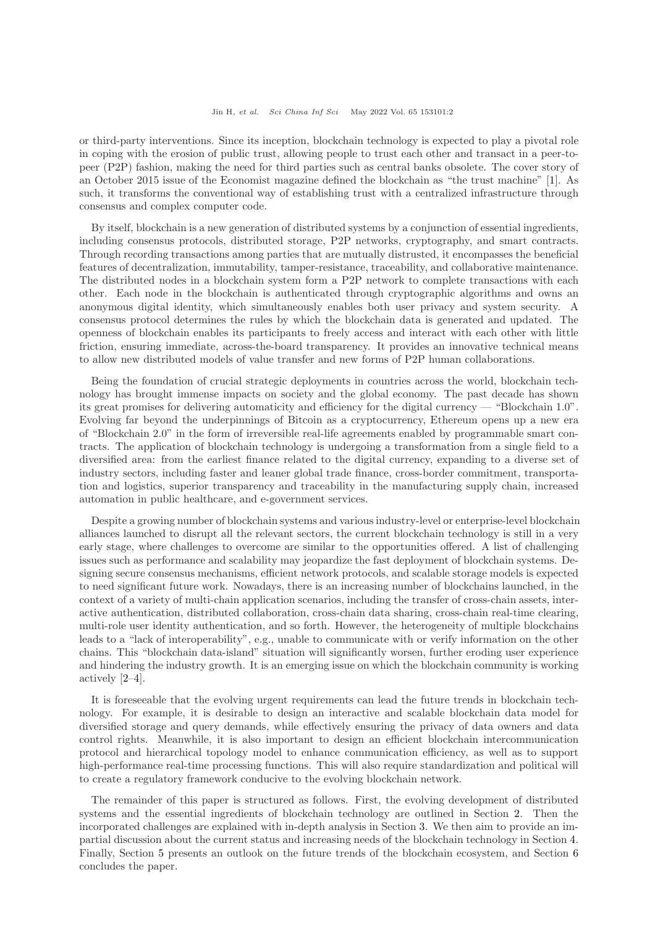or third-party interventions. Since its inception, blockchain technology is expected to play a pivotal role in coping with the erosion of public trust, allowing people to trust each other and transact in a peer-topeer (P2P) fashion, making the need for third parties such as central banks obsolete. The cover story of an October 2015 issue of the Economist magazine defined the blockchain as "the trust machine" [\[1\]](#page-9-0). As such, it transforms the conventional way of establishing trust with a centralized infrastructure through consensus and complex computer code.

By itself, blockchain is a new generation of distributed systems by a conjunction of essential ingredients, including consensus protocols, distributed storage, P2P networks, cryptography, and smart contracts. Through recording transactions among parties that are mutually distrusted, it encompasses the beneficial features of decentralization, immutability, tamper-resistance, traceability, and collaborative maintenance. The distributed nodes in a blockchain system form a P2P network to complete transactions with each other. Each node in the blockchain is authenticated through cryptographic algorithms and owns an anonymous digital identity, which simultaneously enables both user privacy and system security. A consensus protocol determines the rules by which the blockchain data is generated and updated. The openness of blockchain enables its participants to freely access and interact with each other with little friction, ensuring immediate, across-the-board transparency. It provides an innovative technical means to allow new distributed models of value transfer and new forms of P2P human collaborations.

Being the foundation of crucial strategic deployments in countries across the world, blockchain technology has brought immense impacts on society and the global economy. The past decade has shown its great promises for delivering automaticity and efficiency for the digital currency — "Blockchain 1.0". Evolving far beyond the underpinnings of Bitcoin as a cryptocurrency, Ethereum opens up a new era of "Blockchain 2.0" in the form of irreversible real-life agreements enabled by programmable smart contracts. The application of blockchain technology is undergoing a transformation from a single field to a diversified area: from the earliest finance related to the digital currency, expanding to a diverse set of industry sectors, including faster and leaner global trade finance, cross-border commitment, transportation and logistics, superior transparency and traceability in the manufacturing supply chain, increased automation in public healthcare, and e-government services.

Despite a growing number of blockchain systems and various industry-level or enterprise-level blockchain alliances launched to disrupt all the relevant sectors, the current blockchain technology is still in a very early stage, where challenges to overcome are similar to the opportunities offered. A list of challenging issues such as performance and scalability may jeopardize the fast deployment of blockchain systems. Designing secure consensus mechanisms, efficient network protocols, and scalable storage models is expected to need significant future work. Nowadays, there is an increasing number of blockchains launched, in the context of a variety of multi-chain application scenarios, including the transfer of cross-chain assets, interactive authentication, distributed collaboration, cross-chain data sharing, cross-chain real-time clearing, multi-role user identity authentication, and so forth. However, the heterogeneity of multiple blockchains leads to a "lack of interoperability", e.g., unable to communicate with or verify information on the other chains. This "blockchain data-island" situation will significantly worsen, further eroding user experience and hindering the industry growth. It is an emerging issue on which the blockchain community is working actively [\[2–](#page-9-1)[4\]](#page-9-2).

It is foreseeable that the evolving urgent requirements can lead the future trends in blockchain technology. For example, it is desirable to design an interactive and scalable blockchain data model for diversified storage and query demands, while effectively ensuring the privacy of data owners and data control rights. Meanwhile, it is also important to design an efficient blockchain intercommunication protocol and hierarchical topology model to enhance communication efficiency, as well as to support high-performance real-time processing functions. This will also require standardization and political will to create a regulatory framework conducive to the evolving blockchain network.

The remainder of this paper is structured as follows. First, the evolving development of distributed systems and the essential ingredients of blockchain technology are outlined in Section [2.](#page-2-0) Then the incorporated challenges are explained with in-depth analysis in Section [3.](#page-5-0) We then aim to provide an impartial discussion about the current status and increasing needs of the blockchain technology in Section [4.](#page-6-0) Finally, Section [5](#page-7-0) presents an outlook on the future trends of the blockchain ecosystem, and Section [6](#page-9-3) concludes the paper.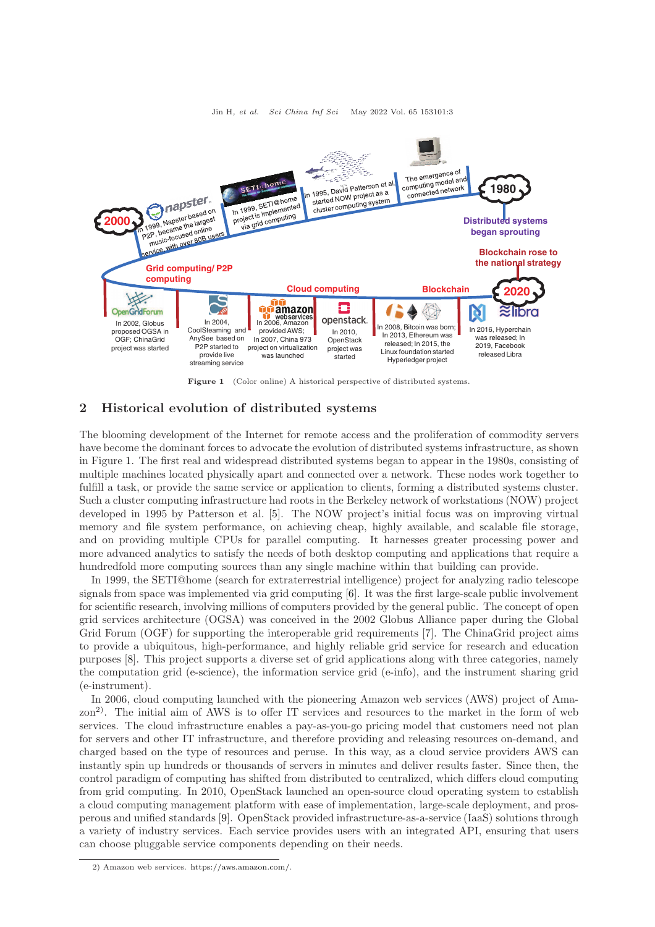<span id="page-2-1"></span>

Figure 1 (Color online) A historical perspective of distributed systems.

# <span id="page-2-0"></span>2 Historical evolution of distributed systems

The blooming development of the Internet for remote access and the proliferation of commodity servers have become the dominant forces to advocate the evolution of distributed systems infrastructure, as shown in Figure [1.](#page-2-1) The first real and widespread distributed systems began to appear in the 1980s, consisting of multiple machines located physically apart and connected over a network. These nodes work together to fulfill a task, or provide the same service or application to clients, forming a distributed systems cluster. Such a cluster computing infrastructure had roots in the Berkeley network of workstations (NOW) project developed in 1995 by Patterson et al. [\[5\]](#page-9-4). The NOW project's initial focus was on improving virtual memory and file system performance, on achieving cheap, highly available, and scalable file storage, and on providing multiple CPUs for parallel computing. It harnesses greater processing power and more advanced analytics to satisfy the needs of both desktop computing and applications that require a hundredfold more computing sources than any single machine within that building can provide.

In 1999, the SETI@home (search for extraterrestrial intelligence) project for analyzing radio telescope signals from space was implemented via grid computing [\[6\]](#page-9-5). It was the first large-scale public involvement for scientific research, involving millions of computers provided by the general public. The concept of open grid services architecture (OGSA) was conceived in the 2002 Globus Alliance paper during the Global Grid Forum (OGF) for supporting the interoperable grid requirements [\[7\]](#page-9-6). The ChinaGrid project aims to provide a ubiquitous, high-performance, and highly reliable grid service for research and education purposes [\[8\]](#page-9-7). This project supports a diverse set of grid applications along with three categories, namely the computation grid (e-science), the information service grid (e-info), and the instrument sharing grid (e-instrument).

In 2006, cloud computing launched with the pioneering Amazon web services (AWS) project of Amazon<sup>2)</sup>. The initial aim of AWS is to offer IT services and resources to the market in the form of web services. The cloud infrastructure enables a pay-as-you-go pricing model that customers need not plan for servers and other IT infrastructure, and therefore providing and releasing resources on-demand, and charged based on the type of resources and peruse. In this way, as a cloud service providers AWS can instantly spin up hundreds or thousands of servers in minutes and deliver results faster. Since then, the control paradigm of computing has shifted from distributed to centralized, which differs cloud computing from grid computing. In 2010, OpenStack launched an open-source cloud operating system to establish a cloud computing management platform with ease of implementation, large-scale deployment, and prosperous and unified standards [\[9\]](#page-9-8). OpenStack provided infrastructure-as-a-service (IaaS) solutions through a variety of industry services. Each service provides users with an integrated API, ensuring that users can choose pluggable service components depending on their needs.

<sup>2)</sup> Amazon web services. [https://aws.amazon.com/.](https://aws.amazon.com/)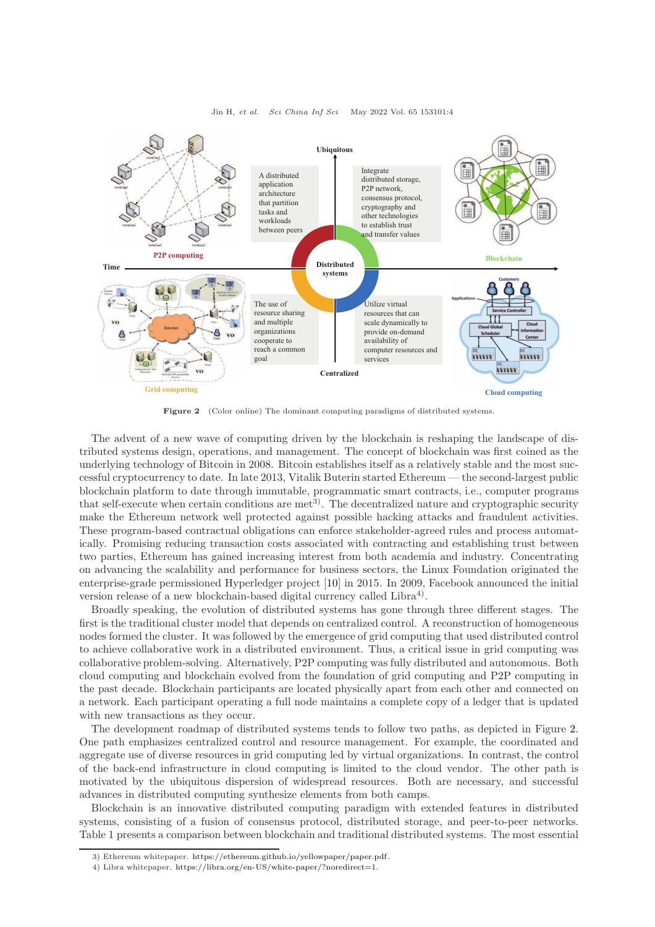<span id="page-3-0"></span>

Jin H, et al. Sci China Inf Sci May 2022 Vol. 65 153101:4

Figure 2 (Color online) The dominant computing paradigms of distributed systems.

The advent of a new wave of computing driven by the blockchain is reshaping the landscape of distributed systems design, operations, and management. The concept of blockchain was first coined as the underlying technology of Bitcoin in 2008. Bitcoin establishes itself as a relatively stable and the most successful cryptocurrency to date. In late 2013, Vitalik Buterin started Ethereum — the second-largest public blockchain platform to date through immutable, programmatic smart contracts, i.e., computer programs that self-execute when certain conditions are  $met^{3}$ . The decentralized nature and cryptographic security make the Ethereum network well protected against possible hacking attacks and fraudulent activities. These program-based contractual obligations can enforce stakeholder-agreed rules and process automatically. Promising reducing transaction costs associated with contracting and establishing trust between two parties, Ethereum has gained increasing interest from both academia and industry. Concentrating on advancing the scalability and performance for business sectors, the Linux Foundation originated the enterprise-grade permissioned Hyperledger project [\[10\]](#page-9-9) in 2015. In 2009, Facebook announced the initial version release of a new blockchain-based digital currency called  $\text{Libra}^4$ .

Broadly speaking, the evolution of distributed systems has gone through three different stages. The first is the traditional cluster model that depends on centralized control. A reconstruction of homogeneous nodes formed the cluster. It was followed by the emergence of grid computing that used distributed control to achieve collaborative work in a distributed environment. Thus, a critical issue in grid computing was collaborative problem-solving. Alternatively, P2P computing was fully distributed and autonomous. Both cloud computing and blockchain evolved from the foundation of grid computing and P2P computing in the past decade. Blockchain participants are located physically apart from each other and connected on a network. Each participant operating a full node maintains a complete copy of a ledger that is updated with new transactions as they occur.

The development roadmap of distributed systems tends to follow two paths, as depicted in Figure [2.](#page-3-0) One path emphasizes centralized control and resource management. For example, the coordinated and aggregate use of diverse resources in grid computing led by virtual organizations. In contrast, the control of the back-end infrastructure in cloud computing is limited to the cloud vendor. The other path is motivated by the ubiquitous dispersion of widespread resources. Both are necessary, and successful advances in distributed computing synthesize elements from both camps.

Blockchain is an innovative distributed computing paradigm with extended features in distributed systems, consisting of a fusion of consensus protocol, distributed storage, and peer-to-peer networks. Table 1 presents a comparison between blockchain and traditional distributed systems. The most essential

<sup>3)</sup> Ethereum whitepaper. [https://ethereum.github.io/yellowpaper/paper.pdf.](https://ethereum.github.io/yellowpaper/paper.pdf)

<sup>4)</sup> Libra whitepaper. [https://libra.org/en-US/white-paper/?noredirect=1.](https://libra.org/en-US/white-paper/?noredirect=1)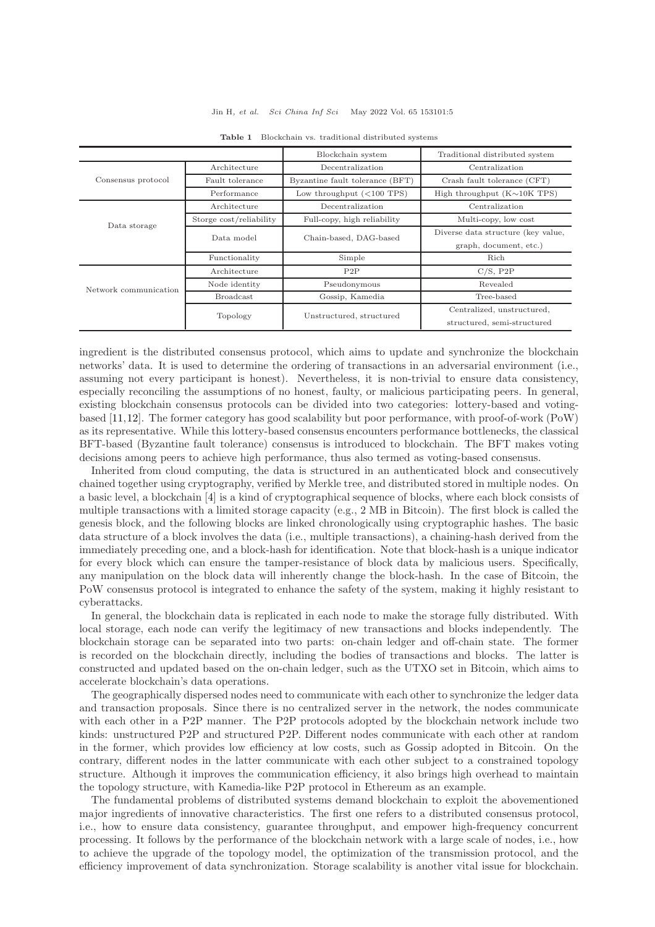#### Jin H, et al. Sci China Inf Sci May 2022 Vol. 65 153101:5

|                       |                         | Blockchain system               | Traditional distributed system     |
|-----------------------|-------------------------|---------------------------------|------------------------------------|
| Consensus protocol    | Architecture            | Decentralization                | Centralization                     |
|                       | Fault tolerance         | Byzantine fault tolerance (BFT) | Crash fault tolerance (CFT)        |
|                       | Performance             | Low throughput $(<100$ TPS)     | High throughput $(K \sim 10K$ TPS) |
| Data storage          | Architecture            | Decentralization                | Centralization                     |
|                       | Storge cost/reliability | Full-copy, high reliability     | Multi-copy, low cost               |
|                       | Data model              | Chain-based, DAG-based          | Diverse data structure (key value, |
|                       |                         |                                 | graph, document, etc.)             |
|                       | Functionality           | Simple                          | Rich                               |
| Network communication | Architecture            | P2P                             | C/S, P2P                           |
|                       | Node identity           | Pseudonymous                    | Revealed                           |
|                       | <b>Broadcast</b>        | Gossip, Kamedia                 | Tree-based                         |
|                       | Topology                | Unstructured, structured        | Centralized, unstructured,         |
|                       |                         |                                 | structured, semi-structured        |

Table 1 Blockchain vs. traditional distributed systems

ingredient is the distributed consensus protocol, which aims to update and synchronize the blockchain networks' data. It is used to determine the ordering of transactions in an adversarial environment (i.e., assuming not every participant is honest). Nevertheless, it is non-trivial to ensure data consistency, especially reconciling the assumptions of no honest, faulty, or malicious participating peers. In general, existing blockchain consensus protocols can be divided into two categories: lottery-based and votingbased [\[11,](#page-9-10)[12\]](#page-9-11). The former category has good scalability but poor performance, with proof-of-work (PoW) as its representative. While this lottery-based consensus encounters performance bottlenecks, the classical BFT-based (Byzantine fault tolerance) consensus is introduced to blockchain. The BFT makes voting decisions among peers to achieve high performance, thus also termed as voting-based consensus.

Inherited from cloud computing, the data is structured in an authenticated block and consecutively chained together using cryptography, verified by Merkle tree, and distributed stored in multiple nodes. On a basic level, a blockchain [\[4\]](#page-9-2) is a kind of cryptographical sequence of blocks, where each block consists of multiple transactions with a limited storage capacity (e.g., 2 MB in Bitcoin). The first block is called the genesis block, and the following blocks are linked chronologically using cryptographic hashes. The basic data structure of a block involves the data (i.e., multiple transactions), a chaining-hash derived from the immediately preceding one, and a block-hash for identification. Note that block-hash is a unique indicator for every block which can ensure the tamper-resistance of block data by malicious users. Specifically, any manipulation on the block data will inherently change the block-hash. In the case of Bitcoin, the PoW consensus protocol is integrated to enhance the safety of the system, making it highly resistant to cyberattacks.

In general, the blockchain data is replicated in each node to make the storage fully distributed. With local storage, each node can verify the legitimacy of new transactions and blocks independently. The blockchain storage can be separated into two parts: on-chain ledger and off-chain state. The former is recorded on the blockchain directly, including the bodies of transactions and blocks. The latter is constructed and updated based on the on-chain ledger, such as the UTXO set in Bitcoin, which aims to accelerate blockchain's data operations.

The geographically dispersed nodes need to communicate with each other to synchronize the ledger data and transaction proposals. Since there is no centralized server in the network, the nodes communicate with each other in a P2P manner. The P2P protocols adopted by the blockchain network include two kinds: unstructured P2P and structured P2P. Different nodes communicate with each other at random in the former, which provides low efficiency at low costs, such as Gossip adopted in Bitcoin. On the contrary, different nodes in the latter communicate with each other subject to a constrained topology structure. Although it improves the communication efficiency, it also brings high overhead to maintain the topology structure, with Kamedia-like P2P protocol in Ethereum as an example.

The fundamental problems of distributed systems demand blockchain to exploit the abovementioned major ingredients of innovative characteristics. The first one refers to a distributed consensus protocol, i.e., how to ensure data consistency, guarantee throughput, and empower high-frequency concurrent processing. It follows by the performance of the blockchain network with a large scale of nodes, i.e., how to achieve the upgrade of the topology model, the optimization of the transmission protocol, and the efficiency improvement of data synchronization. Storage scalability is another vital issue for blockchain.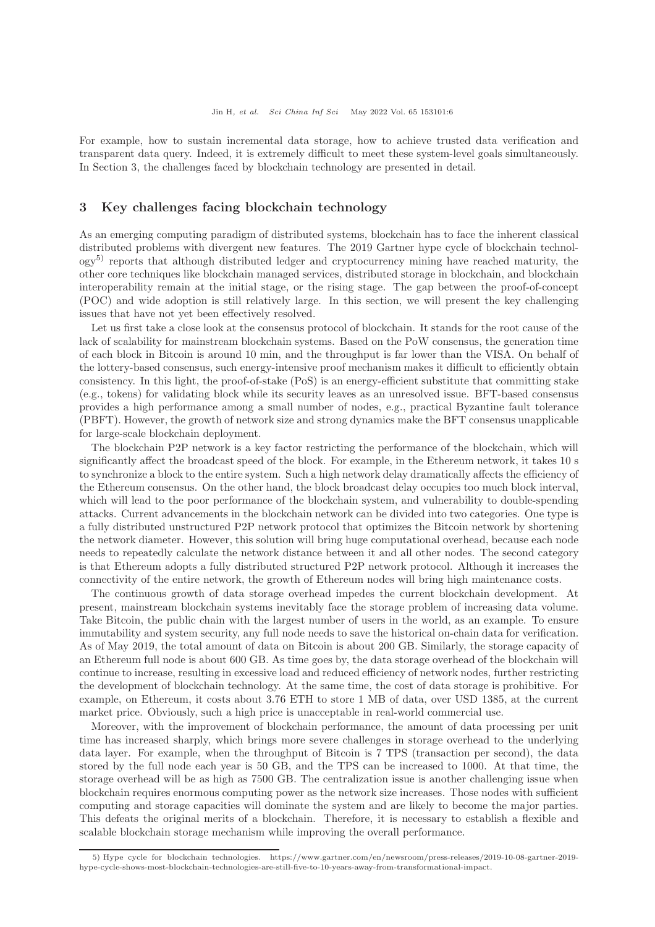For example, how to sustain incremental data storage, how to achieve trusted data verification and transparent data query. Indeed, it is extremely difficult to meet these system-level goals simultaneously. In Section 3, the challenges faced by blockchain technology are presented in detail.

## <span id="page-5-0"></span>3 Key challenges facing blockchain technology

As an emerging computing paradigm of distributed systems, blockchain has to face the inherent classical distributed problems with divergent new features. The 2019 Gartner hype cycle of blockchain technol- $\log y^{5}$  reports that although distributed ledger and cryptocurrency mining have reached maturity, the other core techniques like blockchain managed services, distributed storage in blockchain, and blockchain interoperability remain at the initial stage, or the rising stage. The gap between the proof-of-concept (POC) and wide adoption is still relatively large. In this section, we will present the key challenging issues that have not yet been effectively resolved.

Let us first take a close look at the consensus protocol of blockchain. It stands for the root cause of the lack of scalability for mainstream blockchain systems. Based on the PoW consensus, the generation time of each block in Bitcoin is around 10 min, and the throughput is far lower than the VISA. On behalf of the lottery-based consensus, such energy-intensive proof mechanism makes it difficult to efficiently obtain consistency. In this light, the proof-of-stake (PoS) is an energy-efficient substitute that committing stake (e.g., tokens) for validating block while its security leaves as an unresolved issue. BFT-based consensus provides a high performance among a small number of nodes, e.g., practical Byzantine fault tolerance (PBFT). However, the growth of network size and strong dynamics make the BFT consensus unapplicable for large-scale blockchain deployment.

The blockchain P2P network is a key factor restricting the performance of the blockchain, which will significantly affect the broadcast speed of the block. For example, in the Ethereum network, it takes 10 s to synchronize a block to the entire system. Such a high network delay dramatically affects the efficiency of the Ethereum consensus. On the other hand, the block broadcast delay occupies too much block interval, which will lead to the poor performance of the blockchain system, and vulnerability to double-spending attacks. Current advancements in the blockchain network can be divided into two categories. One type is a fully distributed unstructured P2P network protocol that optimizes the Bitcoin network by shortening the network diameter. However, this solution will bring huge computational overhead, because each node needs to repeatedly calculate the network distance between it and all other nodes. The second category is that Ethereum adopts a fully distributed structured P2P network protocol. Although it increases the connectivity of the entire network, the growth of Ethereum nodes will bring high maintenance costs.

The continuous growth of data storage overhead impedes the current blockchain development. At present, mainstream blockchain systems inevitably face the storage problem of increasing data volume. Take Bitcoin, the public chain with the largest number of users in the world, as an example. To ensure immutability and system security, any full node needs to save the historical on-chain data for verification. As of May 2019, the total amount of data on Bitcoin is about 200 GB. Similarly, the storage capacity of an Ethereum full node is about 600 GB. As time goes by, the data storage overhead of the blockchain will continue to increase, resulting in excessive load and reduced efficiency of network nodes, further restricting the development of blockchain technology. At the same time, the cost of data storage is prohibitive. For example, on Ethereum, it costs about 3.76 ETH to store 1 MB of data, over USD 1385, at the current market price. Obviously, such a high price is unacceptable in real-world commercial use.

Moreover, with the improvement of blockchain performance, the amount of data processing per unit time has increased sharply, which brings more severe challenges in storage overhead to the underlying data layer. For example, when the throughput of Bitcoin is 7 TPS (transaction per second), the data stored by the full node each year is 50 GB, and the TPS can be increased to 1000. At that time, the storage overhead will be as high as 7500 GB. The centralization issue is another challenging issue when blockchain requires enormous computing power as the network size increases. Those nodes with sufficient computing and storage capacities will dominate the system and are likely to become the major parties. This defeats the original merits of a blockchain. Therefore, it is necessary to establish a flexible and scalable blockchain storage mechanism while improving the overall performance.

<sup>5)</sup> Hype cycle for blockchain technologies. https://www.gartner.com/en/newsroom/press-releases/2019-10-08-gartner-2019 hype-cycle-shows-most-blockchain-technologies-are-still-five-to-10-years-away-from-transformational-impact.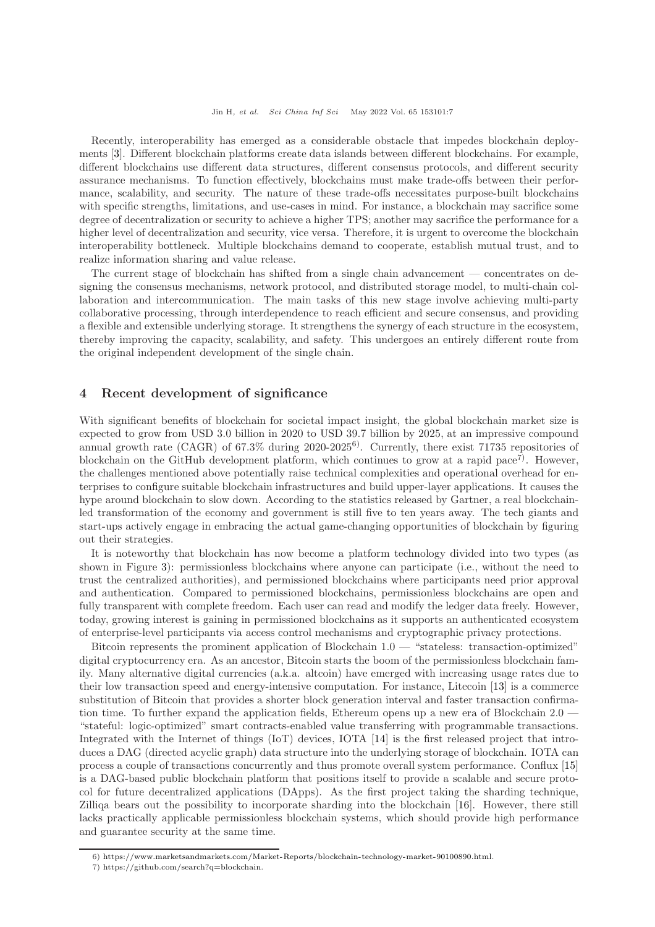Recently, interoperability has emerged as a considerable obstacle that impedes blockchain deployments [\[3\]](#page-9-12). Different blockchain platforms create data islands between different blockchains. For example, different blockchains use different data structures, different consensus protocols, and different security assurance mechanisms. To function effectively, blockchains must make trade-offs between their performance, scalability, and security. The nature of these trade-offs necessitates purpose-built blockchains with specific strengths, limitations, and use-cases in mind. For instance, a blockchain may sacrifice some degree of decentralization or security to achieve a higher TPS; another may sacrifice the performance for a higher level of decentralization and security, vice versa. Therefore, it is urgent to overcome the blockchain interoperability bottleneck. Multiple blockchains demand to cooperate, establish mutual trust, and to realize information sharing and value release.

The current stage of blockchain has shifted from a single chain advancement — concentrates on designing the consensus mechanisms, network protocol, and distributed storage model, to multi-chain collaboration and intercommunication. The main tasks of this new stage involve achieving multi-party collaborative processing, through interdependence to reach efficient and secure consensus, and providing a flexible and extensible underlying storage. It strengthens the synergy of each structure in the ecosystem, thereby improving the capacity, scalability, and safety. This undergoes an entirely different route from the original independent development of the single chain.

# <span id="page-6-0"></span>4 Recent development of significance

With significant benefits of blockchain for societal impact insight, the global blockchain market size is expected to grow from USD 3.0 billion in 2020 to USD 39.7 billion by 2025, at an impressive compound annual growth rate (CAGR) of  $67.3\%$  during  $2020-2025^6$ . Currently, there exist 71735 repositories of blockchain on the GitHub development platform, which continues to grow at a rapid pace<sup>7</sup>. However, the challenges mentioned above potentially raise technical complexities and operational overhead for enterprises to configure suitable blockchain infrastructures and build upper-layer applications. It causes the hype around blockchain to slow down. According to the statistics released by Gartner, a real blockchainled transformation of the economy and government is still five to ten years away. The tech giants and start-ups actively engage in embracing the actual game-changing opportunities of blockchain by figuring out their strategies.

It is noteworthy that blockchain has now become a platform technology divided into two types (as shown in Figure [3\)](#page-7-1): permissionless blockchains where anyone can participate (i.e., without the need to trust the centralized authorities), and permissioned blockchains where participants need prior approval and authentication. Compared to permissioned blockchains, permissionless blockchains are open and fully transparent with complete freedom. Each user can read and modify the ledger data freely. However, today, growing interest is gaining in permissioned blockchains as it supports an authenticated ecosystem of enterprise-level participants via access control mechanisms and cryptographic privacy protections.

Bitcoin represents the prominent application of Blockchain  $1.0 -$  "stateless: transaction-optimized" digital cryptocurrency era. As an ancestor, Bitcoin starts the boom of the permissionless blockchain family. Many alternative digital currencies (a.k.a. altcoin) have emerged with increasing usage rates due to their low transaction speed and energy-intensive computation. For instance, Litecoin [\[13\]](#page-9-13) is a commerce substitution of Bitcoin that provides a shorter block generation interval and faster transaction confirmation time. To further expand the application fields, Ethereum opens up a new era of Blockchain 2.0 – "stateful: logic-optimized" smart contracts-enabled value transferring with programmable transactions. Integrated with the Internet of things (IoT) devices, IOTA [\[14\]](#page-10-1) is the first released project that introduces a DAG (directed acyclic graph) data structure into the underlying storage of blockchain. IOTA can process a couple of transactions concurrently and thus promote overall system performance. Conflux [\[15\]](#page-10-2) is a DAG-based public blockchain platform that positions itself to provide a scalable and secure protocol for future decentralized applications (DApps). As the first project taking the sharding technique, Zilliqa bears out the possibility to incorporate sharding into the blockchain [\[16\]](#page-10-3). However, there still lacks practically applicable permissionless blockchain systems, which should provide high performance and guarantee security at the same time.

<sup>6)</sup> [https://www.marketsandmarkets.com/Market-Reports/blockchain-technology-market-90100890.html.](https://www.marketsandmarkets.com/Market-Reports/blockchain-technology-market-90100890.html)

<sup>7)</sup> [https://github.com/search?q=blockchain.](https://github.com/search?q=blockchain)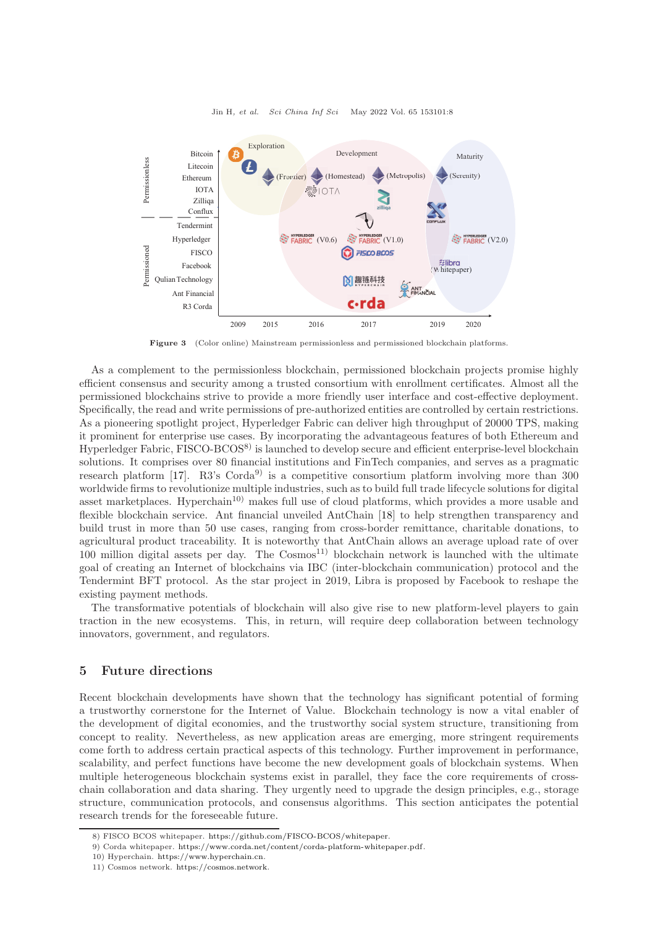<span id="page-7-1"></span>

Jin H, et al. Sci China Inf Sci May 2022 Vol. 65 153101:8

Figure 3 (Color online) Mainstream permissionless and permissioned blockchain platforms.

As a complement to the permissionless blockchain, permissioned blockchain projects promise highly efficient consensus and security among a trusted consortium with enrollment certificates. Almost all the permissioned blockchains strive to provide a more friendly user interface and cost-effective deployment. Specifically, the read and write permissions of pre-authorized entities are controlled by certain restrictions. As a pioneering spotlight project, Hyperledger Fabric can deliver high throughput of 20000 TPS, making it prominent for enterprise use cases. By incorporating the advantageous features of both Ethereum and Hyperledger Fabric, FISCO-BCOS8) is launched to develop secure and efficient enterprise-level blockchain solutions. It comprises over 80 financial institutions and FinTech companies, and serves as a pragmatic research platform [\[17\]](#page-10-4). R3's Corda<sup>9</sup> is a competitive consortium platform involving more than 300 worldwide firms to revolutionize multiple industries, such as to build full trade lifecycle solutions for digital asset marketplaces. Hyperchain<sup>10)</sup> makes full use of cloud platforms, which provides a more usable and flexible blockchain service. Ant financial unveiled AntChain [\[18\]](#page-10-5) to help strengthen transparency and build trust in more than 50 use cases, ranging from cross-border remittance, charitable donations, to agricultural product traceability. It is noteworthy that AntChain allows an average upload rate of over  $100$  million digital assets per day. The  $\text{Cosmos}^{11}$  blockchain network is launched with the ultimate goal of creating an Internet of blockchains via IBC (inter-blockchain communication) protocol and the Tendermint BFT protocol. As the star project in 2019, Libra is proposed by Facebook to reshape the existing payment methods.

The transformative potentials of blockchain will also give rise to new platform-level players to gain traction in the new ecosystems. This, in return, will require deep collaboration between technology innovators, government, and regulators.

# <span id="page-7-0"></span>5 Future directions

Recent blockchain developments have shown that the technology has significant potential of forming a trustworthy cornerstone for the Internet of Value. Blockchain technology is now a vital enabler of the development of digital economies, and the trustworthy social system structure, transitioning from concept to reality. Nevertheless, as new application areas are emerging, more stringent requirements come forth to address certain practical aspects of this technology. Further improvement in performance, scalability, and perfect functions have become the new development goals of blockchain systems. When multiple heterogeneous blockchain systems exist in parallel, they face the core requirements of crosschain collaboration and data sharing. They urgently need to upgrade the design principles, e.g., storage structure, communication protocols, and consensus algorithms. This section anticipates the potential research trends for the foreseeable future.

<sup>8)</sup> FISCO BCOS whitepaper. [https://github.com/FISCO-BCOS/whitepaper.](https://github.com/FISCO-BCOS/whitepaper)

<sup>9)</sup> Corda whitepaper. [https://www.corda.net/content/corda-platform-whitepaper.pdf.](https://www.corda.net/content/corda-platform-whitepaper.pdf)

<sup>10)</sup> Hyperchain. [https://www.hyperchain.cn.](https://www.hyperchain.cn)

<sup>11)</sup> Cosmos network. [https://cosmos.network.](https://cosmos.network)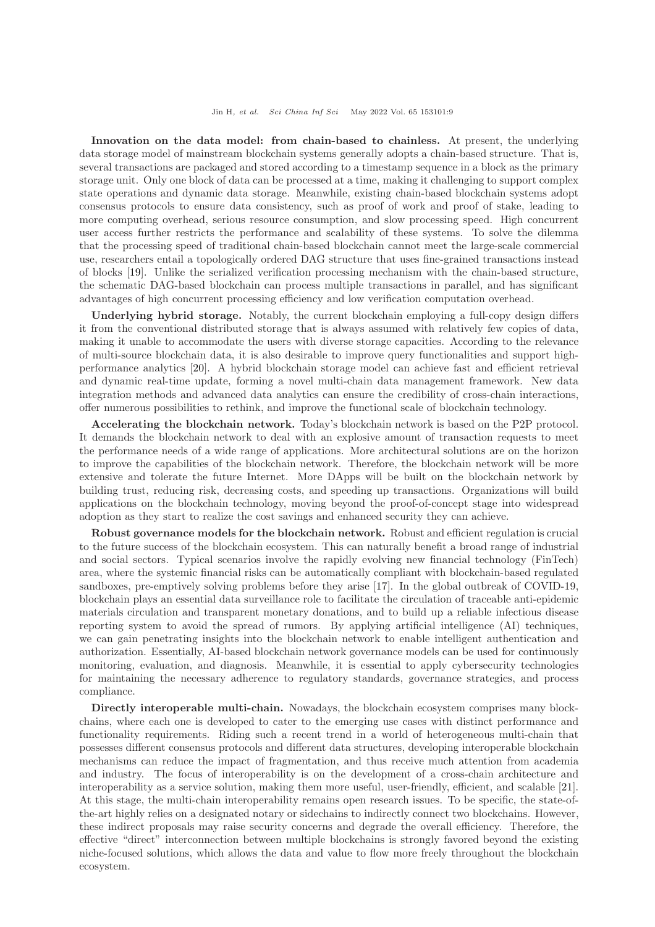Innovation on the data model: from chain-based to chainless. At present, the underlying data storage model of mainstream blockchain systems generally adopts a chain-based structure. That is, several transactions are packaged and stored according to a timestamp sequence in a block as the primary storage unit. Only one block of data can be processed at a time, making it challenging to support complex state operations and dynamic data storage. Meanwhile, existing chain-based blockchain systems adopt consensus protocols to ensure data consistency, such as proof of work and proof of stake, leading to more computing overhead, serious resource consumption, and slow processing speed. High concurrent user access further restricts the performance and scalability of these systems. To solve the dilemma that the processing speed of traditional chain-based blockchain cannot meet the large-scale commercial use, researchers entail a topologically ordered DAG structure that uses fine-grained transactions instead of blocks [\[19\]](#page-10-6). Unlike the serialized verification processing mechanism with the chain-based structure, the schematic DAG-based blockchain can process multiple transactions in parallel, and has significant advantages of high concurrent processing efficiency and low verification computation overhead.

Underlying hybrid storage. Notably, the current blockchain employing a full-copy design differs it from the conventional distributed storage that is always assumed with relatively few copies of data, making it unable to accommodate the users with diverse storage capacities. According to the relevance of multi-source blockchain data, it is also desirable to improve query functionalities and support highperformance analytics [\[20\]](#page-10-7). A hybrid blockchain storage model can achieve fast and efficient retrieval and dynamic real-time update, forming a novel multi-chain data management framework. New data integration methods and advanced data analytics can ensure the credibility of cross-chain interactions, offer numerous possibilities to rethink, and improve the functional scale of blockchain technology.

Accelerating the blockchain network. Today's blockchain network is based on the P2P protocol. It demands the blockchain network to deal with an explosive amount of transaction requests to meet the performance needs of a wide range of applications. More architectural solutions are on the horizon to improve the capabilities of the blockchain network. Therefore, the blockchain network will be more extensive and tolerate the future Internet. More DApps will be built on the blockchain network by building trust, reducing risk, decreasing costs, and speeding up transactions. Organizations will build applications on the blockchain technology, moving beyond the proof-of-concept stage into widespread adoption as they start to realize the cost savings and enhanced security they can achieve.

Robust governance models for the blockchain network. Robust and efficient regulation is crucial to the future success of the blockchain ecosystem. This can naturally benefit a broad range of industrial and social sectors. Typical scenarios involve the rapidly evolving new financial technology (FinTech) area, where the systemic financial risks can be automatically compliant with blockchain-based regulated sandboxes, pre-emptively solving problems before they arise [\[17\]](#page-10-4). In the global outbreak of COVID-19, blockchain plays an essential data surveillance role to facilitate the circulation of traceable anti-epidemic materials circulation and transparent monetary donations, and to build up a reliable infectious disease reporting system to avoid the spread of rumors. By applying artificial intelligence (AI) techniques, we can gain penetrating insights into the blockchain network to enable intelligent authentication and authorization. Essentially, AI-based blockchain network governance models can be used for continuously monitoring, evaluation, and diagnosis. Meanwhile, it is essential to apply cybersecurity technologies for maintaining the necessary adherence to regulatory standards, governance strategies, and process compliance.

Directly interoperable multi-chain. Nowadays, the blockchain ecosystem comprises many blockchains, where each one is developed to cater to the emerging use cases with distinct performance and functionality requirements. Riding such a recent trend in a world of heterogeneous multi-chain that possesses different consensus protocols and different data structures, developing interoperable blockchain mechanisms can reduce the impact of fragmentation, and thus receive much attention from academia and industry. The focus of interoperability is on the development of a cross-chain architecture and interoperability as a service solution, making them more useful, user-friendly, efficient, and scalable [\[21\]](#page-10-8). At this stage, the multi-chain interoperability remains open research issues. To be specific, the state-ofthe-art highly relies on a designated notary or sidechains to indirectly connect two blockchains. However, these indirect proposals may raise security concerns and degrade the overall efficiency. Therefore, the effective "direct" interconnection between multiple blockchains is strongly favored beyond the existing niche-focused solutions, which allows the data and value to flow more freely throughout the blockchain ecosystem.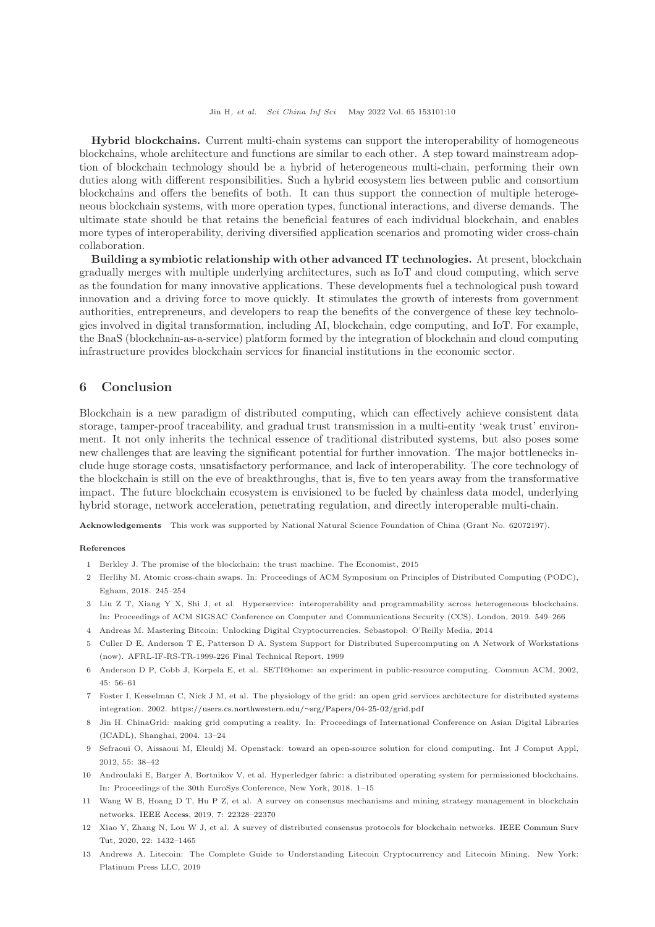Hybrid blockchains. Current multi-chain systems can support the interoperability of homogeneous blockchains, whole architecture and functions are similar to each other. A step toward mainstream adoption of blockchain technology should be a hybrid of heterogeneous multi-chain, performing their own duties along with different responsibilities. Such a hybrid ecosystem lies between public and consortium blockchains and offers the benefits of both. It can thus support the connection of multiple heterogeneous blockchain systems, with more operation types, functional interactions, and diverse demands. The ultimate state should be that retains the beneficial features of each individual blockchain, and enables more types of interoperability, deriving diversified application scenarios and promoting wider cross-chain collaboration.

Building a symbiotic relationship with other advanced IT technologies. At present, blockchain gradually merges with multiple underlying architectures, such as IoT and cloud computing, which serve as the foundation for many innovative applications. These developments fuel a technological push toward innovation and a driving force to move quickly. It stimulates the growth of interests from government authorities, entrepreneurs, and developers to reap the benefits of the convergence of these key technologies involved in digital transformation, including AI, blockchain, edge computing, and IoT. For example, the BaaS (blockchain-as-a-service) platform formed by the integration of blockchain and cloud computing infrastructure provides blockchain services for financial institutions in the economic sector.

# <span id="page-9-3"></span>6 Conclusion

Blockchain is a new paradigm of distributed computing, which can effectively achieve consistent data storage, tamper-proof traceability, and gradual trust transmission in a multi-entity 'weak trust' environment. It not only inherits the technical essence of traditional distributed systems, but also poses some new challenges that are leaving the significant potential for further innovation. The major bottlenecks include huge storage costs, unsatisfactory performance, and lack of interoperability. The core technology of the blockchain is still on the eve of breakthroughs, that is, five to ten years away from the transformative impact. The future blockchain ecosystem is envisioned to be fueled by chainless data model, underlying hybrid storage, network acceleration, penetrating regulation, and directly interoperable multi-chain.

Acknowledgements This work was supported by National Natural Science Foundation of China (Grant No. 62072197).

### <span id="page-9-0"></span>References

- <span id="page-9-1"></span>1 Berkley J. The promise of the blockchain: the trust machine. The Economist, 2015
- <span id="page-9-12"></span>2 Herlihy M. Atomic cross-chain swaps. In: Proceedings of ACM Symposium on Principles of Distributed Computing (PODC), Egham, 2018. 245–254
- <span id="page-9-2"></span>3 Liu Z T, Xiang Y X, Shi J, et al. Hyperservice: interoperability and programmability across heterogeneous blockchains. In: Proceedings of ACM SIGSAC Conference on Computer and Communications Security (CCS), London, 2019. 549–266
- <span id="page-9-4"></span>4 Andreas M. Mastering Bitcoin: Unlocking Digital Cryptocurrencies. Sebastopol: O'Reilly Media, 2014
- <span id="page-9-5"></span>5 Culler D E, Anderson T E, Patterson D A. System Support for Distributed Supercomputing on A Network of Workstations (now). AFRL-IF-RS-TR-1999-226 Final Technical Report, 1999
- <span id="page-9-6"></span>6 Anderson D P, Cobb J, Korpela E, et al. SETI@home: an experiment in public-resource computing. Commun ACM, 2002, 45: 56–61
- <span id="page-9-7"></span>7 Foster I, Kesselman C, Nick J M, et al. The physiology of the grid: an open grid services architecture for distributed systems integration. 2002. [https://users.cs.northwestern.edu/](https://users.cs.northwestern.edu/~srg/Papers/04-25-02/grid.pdf)∼srg/Papers/04-25-02/grid.pdf
- 8 Jin H. ChinaGrid: making grid computing a reality. In: Proceedings of International Conference on Asian Digital Libraries (ICADL), Shanghai, 2004. 13–24
- <span id="page-9-8"></span>9 Sefraoui O, Aissaoui M, Eleuldj M. Openstack: toward an open-source solution for cloud computing. Int J Comput Appl, 2012, 55: 38–42
- <span id="page-9-9"></span>10 Androulaki E, Barger A, Bortnikov V, et al. Hyperledger fabric: a distributed operating system for permissioned blockchains. In: Proceedings of the 30th EuroSys Conference, New York, 2018. 1–15
- <span id="page-9-10"></span>11 Wang W B, Hoang D T, Hu P Z, et al. A survey on consensus mechanisms and mining strategy management in blockchain networks. [IEEE Access,](https://doi.org/10.1109/ACCESS.2019.2896108) 2019, 7: 22328–22370
- <span id="page-9-13"></span><span id="page-9-11"></span>12 Xia[o Y, Zhang N, Lou W J, et al. A survey of distributed consensus protocols for blockchain networks.](https://doi.org/10.1109/COMST.2020.2969706) IEEE Commun Surv Tut, 2020, 22: 1432–1465
- 13 Andrews A. Litecoin: The Complete Guide to Understanding Litecoin Cryptocurrency and Litecoin Mining. New York: Platinum Press LLC, 2019